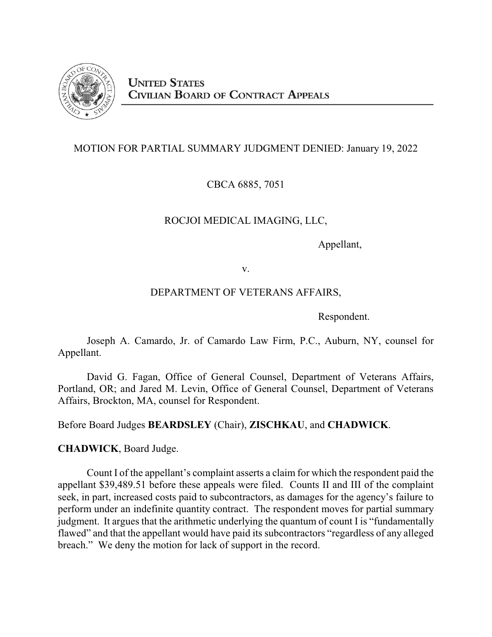

## MOTION FOR PARTIAL SUMMARY JUDGMENT DENIED: January 19, 2022

CBCA 6885, 7051

# ROCJOI MEDICAL IMAGING, LLC,

Appellant,

v.

### DEPARTMENT OF VETERANS AFFAIRS,

Respondent.

Joseph A. Camardo, Jr. of Camardo Law Firm, P.C., Auburn, NY, counsel for Appellant.

David G. Fagan, Office of General Counsel, Department of Veterans Affairs, Portland, OR; and Jared M. Levin, Office of General Counsel, Department of Veterans Affairs, Brockton, MA, counsel for Respondent.

Before Board Judges **BEARDSLEY** (Chair), **ZISCHKAU**, and **CHADWICK**.

**CHADWICK**, Board Judge.

Count I of the appellant's complaint asserts a claim for which the respondent paid the appellant \$39,489.51 before these appeals were filed. Counts II and III of the complaint seek, in part, increased costs paid to subcontractors, as damages for the agency's failure to perform under an indefinite quantity contract. The respondent moves for partial summary judgment. It argues that the arithmetic underlying the quantum of count I is "fundamentally flawed" and that the appellant would have paid its subcontractors "regardless of any alleged breach." We deny the motion for lack of support in the record.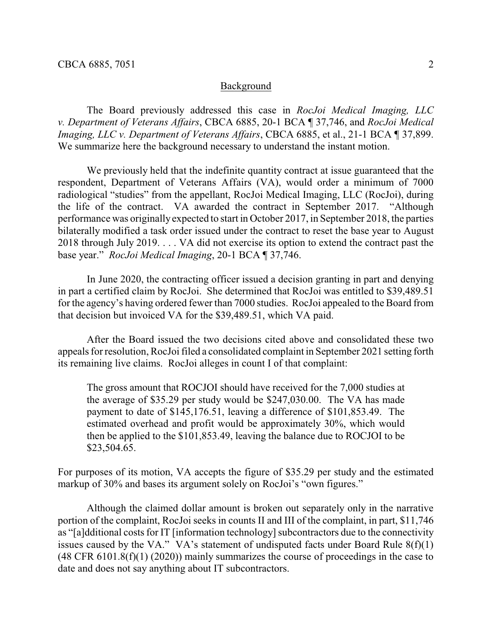#### Background

The Board previously addressed this case in *RocJoi Medical Imaging, LLC v. Department of Veterans Affairs*, CBCA 6885, 20-1 BCA ¶ 37,746, and *RocJoi Medical Imaging, LLC v. Department of Veterans Affairs, CBCA 6885, et al., 21-1 BCA* 137,899. We summarize here the background necessary to understand the instant motion.

We previously held that the indefinite quantity contract at issue guaranteed that the respondent, Department of Veterans Affairs (VA), would order a minimum of 7000 radiological "studies" from the appellant, RocJoi Medical Imaging, LLC (RocJoi), during the life of the contract. VA awarded the contract in September 2017. "Although performance was originally expected to start in October 2017, in September 2018, the parties bilaterally modified a task order issued under the contract to reset the base year to August 2018 through July 2019. . . . VA did not exercise its option to extend the contract past the base year." *RocJoi Medical Imaging*, 20-1 BCA ¶ 37,746.

In June 2020, the contracting officer issued a decision granting in part and denying in part a certified claim by RocJoi. She determined that RocJoi was entitled to \$39,489.51 for the agency's having ordered fewer than 7000 studies. RocJoi appealed to the Board from that decision but invoiced VA for the \$39,489.51, which VA paid.

After the Board issued the two decisions cited above and consolidated these two appeals for resolution, RocJoi filed a consolidated complaint in September 2021 setting forth its remaining live claims. RocJoi alleges in count I of that complaint:

The gross amount that ROCJOI should have received for the 7,000 studies at the average of \$35.29 per study would be \$247,030.00. The VA has made payment to date of \$145,176.51, leaving a difference of \$101,853.49. The estimated overhead and profit would be approximately 30%, which would then be applied to the \$101,853.49, leaving the balance due to ROCJOI to be \$23,504.65.

For purposes of its motion, VA accepts the figure of \$35.29 per study and the estimated markup of 30% and bases its argument solely on RocJoi's "own figures."

Although the claimed dollar amount is broken out separately only in the narrative portion of the complaint, RocJoi seeks in counts II and III of the complaint, in part, \$11,746 as "[a]dditional costs for IT [information technology] subcontractors due to the connectivity issues caused by the VA." VA's statement of undisputed facts under Board Rule  $8(f)(1)$ (48 CFR 6101.8(f)(1) (2020)) mainly summarizes the course of proceedings in the case to date and does not say anything about IT subcontractors.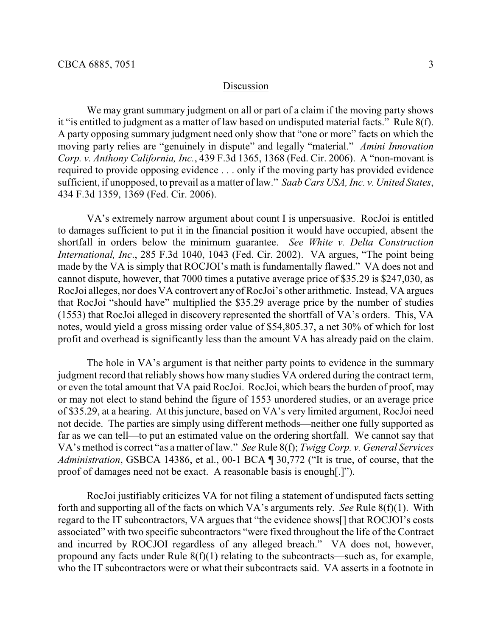#### Discussion

We may grant summary judgment on all or part of a claim if the moving party shows it "is entitled to judgment as a matter of law based on undisputed material facts." Rule 8(f). A party opposing summary judgment need only show that "one or more" facts on which the moving party relies are "genuinely in dispute" and legally "material." *Amini Innovation Corp. v. Anthony California, Inc.*, 439 F.3d 1365, 1368 (Fed. Cir. 2006). A "non-movant is required to provide opposing evidence . . . only if the moving party has provided evidence sufficient, if unopposed, to prevail as a matter of law." *Saab Cars USA, Inc. v. United States*, 434 F.3d 1359, 1369 (Fed. Cir. 2006).

VA's extremely narrow argument about count I is unpersuasive. RocJoi is entitled to damages sufficient to put it in the financial position it would have occupied, absent the shortfall in orders below the minimum guarantee. *See White v. Delta Construction International, Inc*., 285 F.3d 1040, 1043 (Fed. Cir. 2002). VA argues, "The point being made by the VA is simply that ROCJOI's math is fundamentally flawed." VA does not and cannot dispute, however, that 7000 times a putative average price of \$35.29 is \$247,030, as RocJoi alleges, nor does VA controvert any of RocJoi's other arithmetic. Instead, VA argues that RocJoi "should have" multiplied the \$35.29 average price by the number of studies (1553) that RocJoi alleged in discovery represented the shortfall of VA's orders. This, VA notes, would yield a gross missing order value of \$54,805.37, a net 30% of which for lost profit and overhead is significantly less than the amount VA has already paid on the claim.

The hole in VA's argument is that neither party points to evidence in the summary judgment record that reliably shows how many studies VA ordered during the contract term, or even the total amount that VA paid RocJoi. RocJoi, which bears the burden of proof, may or may not elect to stand behind the figure of 1553 unordered studies, or an average price of \$35.29, at a hearing. At this juncture, based on VA's very limited argument, RocJoi need not decide. The parties are simply using different methods—neither one fully supported as far as we can tell—to put an estimated value on the ordering shortfall. We cannot say that VA's method is correct "as a matter of law." *See* Rule 8(f); *Twigg Corp. v. General Services Administration*, GSBCA 14386, et al., 00-1 BCA ¶ 30,772 ("It is true, of course, that the proof of damages need not be exact. A reasonable basis is enough[.]").

RocJoi justifiably criticizes VA for not filing a statement of undisputed facts setting forth and supporting all of the facts on which VA's arguments rely. *See* Rule 8(f)(1). With regard to the IT subcontractors, VA argues that "the evidence shows[] that ROCJOI's costs associated" with two specific subcontractors "were fixed throughout the life of the Contract and incurred by ROCJOI regardless of any alleged breach." VA does not, however, propound any facts under Rule 8(f)(1) relating to the subcontracts—such as, for example, who the IT subcontractors were or what their subcontracts said. VA asserts in a footnote in